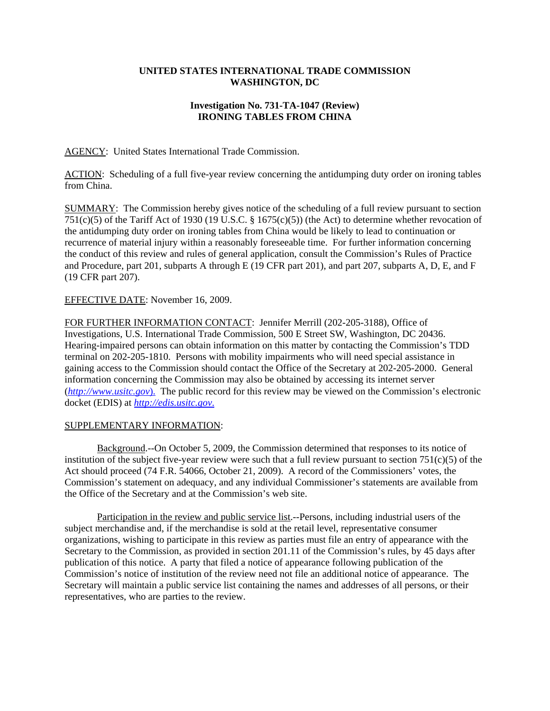## **UNITED STATES INTERNATIONAL TRADE COMMISSION WASHINGTON, DC**

## **Investigation No. 731-TA-1047 (Review) IRONING TABLES FROM CHINA**

AGENCY: United States International Trade Commission.

ACTION: Scheduling of a full five-year review concerning the antidumping duty order on ironing tables from China.

SUMMARY: The Commission hereby gives notice of the scheduling of a full review pursuant to section 751(c)(5) of the Tariff Act of 1930 (19 U.S.C. § 1675(c)(5)) (the Act) to determine whether revocation of the antidumping duty order on ironing tables from China would be likely to lead to continuation or recurrence of material injury within a reasonably foreseeable time. For further information concerning the conduct of this review and rules of general application, consult the Commission's Rules of Practice and Procedure, part 201, subparts A through E (19 CFR part 201), and part 207, subparts A, D, E, and F (19 CFR part 207).

## EFFECTIVE DATE: November 16, 2009.

FOR FURTHER INFORMATION CONTACT: Jennifer Merrill (202-205-3188), Office of Investigations, U.S. International Trade Commission, 500 E Street SW, Washington, DC 20436. Hearing-impaired persons can obtain information on this matter by contacting the Commission's TDD terminal on 202-205-1810. Persons with mobility impairments who will need special assistance in gaining access to the Commission should contact the Office of the Secretary at 202-205-2000. General information concerning the Commission may also be obtained by accessing its internet server (*http://www.usitc.gov*). The public record for this review may be viewed on the Commission's electronic docket (EDIS) at *http://edis.usitc.gov*.

## SUPPLEMENTARY INFORMATION:

Background.--On October 5, 2009, the Commission determined that responses to its notice of institution of the subject five-year review were such that a full review pursuant to section  $751(c)(5)$  of the Act should proceed (74 F.R. 54066, October 21, 2009). A record of the Commissioners' votes, the Commission's statement on adequacy, and any individual Commissioner's statements are available from the Office of the Secretary and at the Commission's web site.

Participation in the review and public service list.--Persons, including industrial users of the subject merchandise and, if the merchandise is sold at the retail level, representative consumer organizations, wishing to participate in this review as parties must file an entry of appearance with the Secretary to the Commission, as provided in section 201.11 of the Commission's rules, by 45 days after publication of this notice. A party that filed a notice of appearance following publication of the Commission's notice of institution of the review need not file an additional notice of appearance. The Secretary will maintain a public service list containing the names and addresses of all persons, or their representatives, who are parties to the review.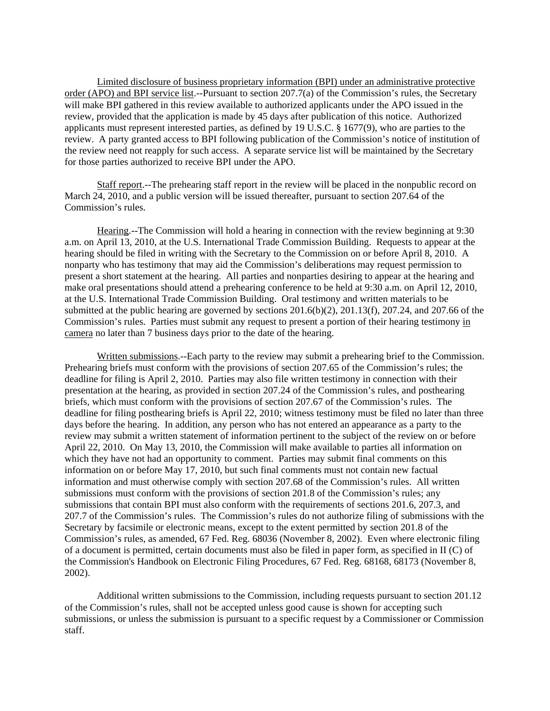Limited disclosure of business proprietary information (BPI) under an administrative protective order (APO) and BPI service list.--Pursuant to section 207.7(a) of the Commission's rules, the Secretary will make BPI gathered in this review available to authorized applicants under the APO issued in the review, provided that the application is made by 45 days after publication of this notice. Authorized applicants must represent interested parties, as defined by 19 U.S.C. § 1677(9), who are parties to the review. A party granted access to BPI following publication of the Commission's notice of institution of the review need not reapply for such access. A separate service list will be maintained by the Secretary for those parties authorized to receive BPI under the APO.

Staff report.--The prehearing staff report in the review will be placed in the nonpublic record on March 24, 2010, and a public version will be issued thereafter, pursuant to section 207.64 of the Commission's rules.

Hearing.--The Commission will hold a hearing in connection with the review beginning at 9:30 a.m. on April 13, 2010, at the U.S. International Trade Commission Building. Requests to appear at the hearing should be filed in writing with the Secretary to the Commission on or before April 8, 2010. A nonparty who has testimony that may aid the Commission's deliberations may request permission to present a short statement at the hearing. All parties and nonparties desiring to appear at the hearing and make oral presentations should attend a prehearing conference to be held at 9:30 a.m. on April 12, 2010, at the U.S. International Trade Commission Building. Oral testimony and written materials to be submitted at the public hearing are governed by sections  $201.6(b)(2)$ ,  $201.13(f)$ ,  $207.24$ , and  $207.66$  of the Commission's rules. Parties must submit any request to present a portion of their hearing testimony in camera no later than 7 business days prior to the date of the hearing.

Written submissions.--Each party to the review may submit a prehearing brief to the Commission. Prehearing briefs must conform with the provisions of section 207.65 of the Commission's rules; the deadline for filing is April 2, 2010. Parties may also file written testimony in connection with their presentation at the hearing, as provided in section 207.24 of the Commission's rules, and posthearing briefs, which must conform with the provisions of section 207.67 of the Commission's rules. The deadline for filing posthearing briefs is April 22, 2010; witness testimony must be filed no later than three days before the hearing. In addition, any person who has not entered an appearance as a party to the review may submit a written statement of information pertinent to the subject of the review on or before April 22, 2010. On May 13, 2010, the Commission will make available to parties all information on which they have not had an opportunity to comment. Parties may submit final comments on this information on or before May 17, 2010, but such final comments must not contain new factual information and must otherwise comply with section 207.68 of the Commission's rules. All written submissions must conform with the provisions of section 201.8 of the Commission's rules; any submissions that contain BPI must also conform with the requirements of sections 201.6, 207.3, and 207.7 of the Commission's rules. The Commission's rules do not authorize filing of submissions with the Secretary by facsimile or electronic means, except to the extent permitted by section 201.8 of the Commission's rules, as amended, 67 Fed. Reg. 68036 (November 8, 2002). Even where electronic filing of a document is permitted, certain documents must also be filed in paper form, as specified in II (C) of the Commission's Handbook on Electronic Filing Procedures, 67 Fed. Reg. 68168, 68173 (November 8, 2002).

Additional written submissions to the Commission, including requests pursuant to section 201.12 of the Commission's rules, shall not be accepted unless good cause is shown for accepting such submissions, or unless the submission is pursuant to a specific request by a Commissioner or Commission staff.